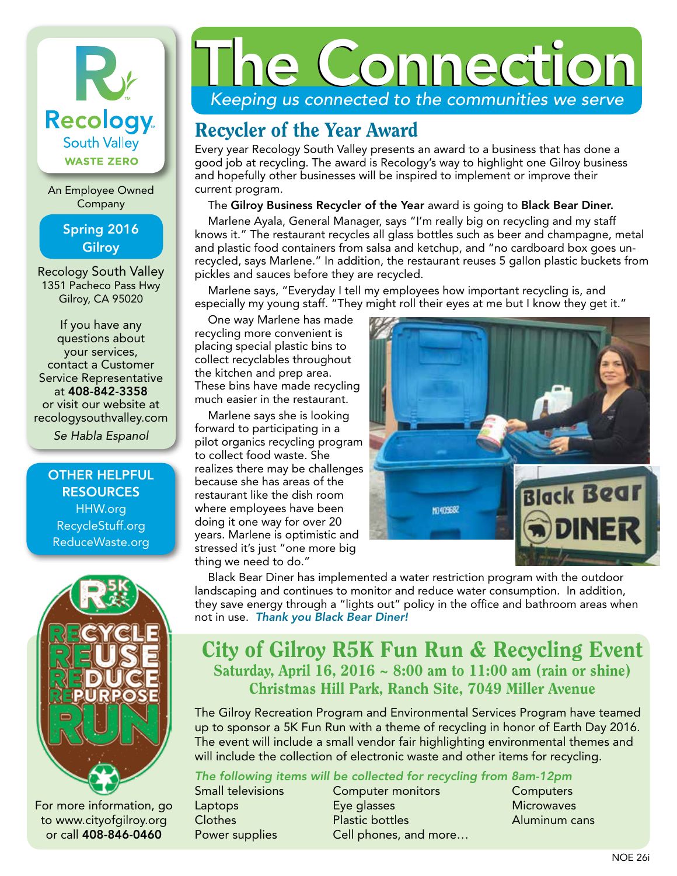# Ky **Recology** South Valley **WASTE ZERO**

An Employee Owned Company

> Spring 2016 **Gilroy**

Recology South Valley 1351 Pacheco Pass Hwy Gilroy, CA 95020

If you have any questions about your services, contact a Customer Service Representative at 408-842-3358 or visit our website at recologysouthvalley.com

*Se Habla Espanol*

OTHER HELPFUL **RESOURCES** HHW.org RecycleStuff.org ReduceWaste.org



For more information, go to www.cityofgilroy.org or call 408-846-0460

# *Keeping us connected to the communities we serve* the Connection

### Recycler of the Year Award

Every year Recology South Valley presents an award to a business that has done a good job at recycling. The award is Recology's way to highlight one Gilroy business and hopefully other businesses will be inspired to implement or improve their current program.

The Gilroy Business Recycler of the Year award is going to Black Bear Diner.

Marlene Ayala, General Manager, says "I'm really big on recycling and my staff knows it." The restaurant recycles all glass bottles such as beer and champagne, metal and plastic food containers from salsa and ketchup, and "no cardboard box goes unrecycled, says Marlene." In addition, the restaurant reuses 5 gallon plastic buckets from pickles and sauces before they are recycled.

Marlene says, "Everyday I tell my employees how important recycling is, and especially my young staff. "They might roll their eyes at me but I know they get it."

One way Marlene has made recycling more convenient is placing special plastic bins to collect recyclables throughout the kitchen and prep area. These bins have made recycling much easier in the restaurant.

Marlene says she is looking forward to participating in a pilot organics recycling program to collect food waste. She realizes there may be challenges because she has areas of the restaurant like the dish room where employees have been doing it one way for over 20 years. Marlene is optimistic and stressed it's just "one more big thing we need to do."



Black Bear Diner has implemented a water restriction program with the outdoor landscaping and continues to monitor and reduce water consumption. In addition, they save energy through a "lights out" policy in the office and bathroom areas when not in use. *Thank you Black Bear Diner!*

### City of Gilroy R5K Fun Run & Recycling Event Saturday, April 16,  $2016 \sim 8:00$  am to  $11:00$  am (rain or shine) Christmas Hill Park, Ranch Site, 7049 Miller Avenue

The Gilroy Recreation Program and Environmental Services Program have teamed up to sponsor a 5K Fun Run with a theme of recycling in honor of Earth Day 2016. The event will include a small vendor fair highlighting environmental themes and will include the collection of electronic waste and other items for recycling.

*The following items will be collected for recycling from 8am-12pm*

Small televisions Computer monitors Computers Laptops Eye glasses Microwaves Clothes Plastic bottles Aluminum cans Power supplies Cell phones, and more...